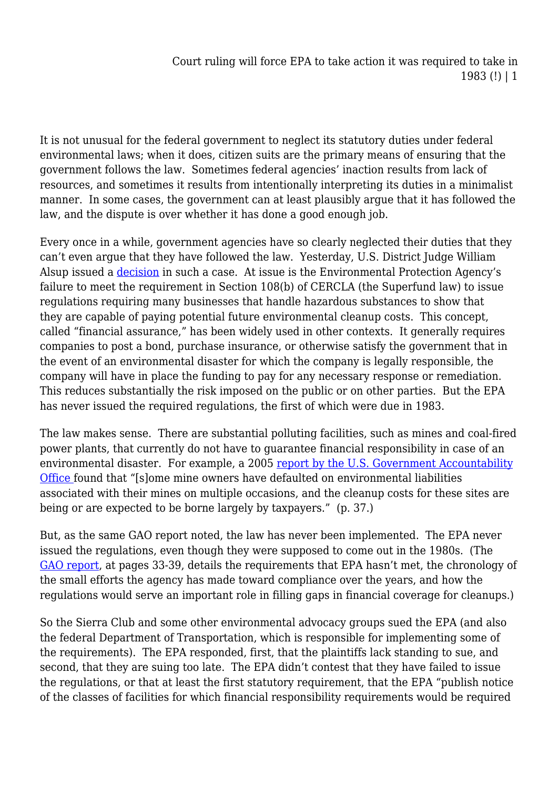It is not unusual for the federal government to neglect its statutory duties under federal environmental laws; when it does, citizen suits are the primary means of ensuring that the government follows the law. Sometimes federal agencies' inaction results from lack of resources, and sometimes it results from intentionally interpreting its duties in a minimalist manner. In some cases, the government can at least plausibly argue that it has followed the law, and the dispute is over whether it has done a good enough job.

Every once in a while, government agencies have so clearly neglected their duties that they can't even argue that they have followed the law. Yesterday, U.S. District Judge William Alsup issued a [decision](http://www.earthjustice.org/library/legal_docs/cleanup-bonds-decision.pdf) in such a case. At issue is the Environmental Protection Agency's failure to meet the requirement in Section 108(b) of CERCLA (the Superfund law) to issue regulations requiring many businesses that handle hazardous substances to show that they are capable of paying potential future environmental cleanup costs. This concept, called "financial assurance," has been widely used in other contexts. It generally requires companies to post a bond, purchase insurance, or otherwise satisfy the government that in the event of an environmental disaster for which the company is legally responsible, the company will have in place the funding to pay for any necessary response or remediation. This reduces substantially the risk imposed on the public or on other parties. But the EPA has never issued the required regulations, the first of which were due in 1983.

The law makes sense. There are substantial polluting facilities, such as mines and coal-fired power plants, that currently do not have to guarantee financial responsibility in case of an environmental disaster. For example, a 2005 [report by the U.S. Government Accountability](http://www.gao.gov/new.items/d05658.pdf) [Office f](http://www.gao.gov/new.items/d05658.pdf)ound that "[s]ome mine owners have defaulted on environmental liabilities associated with their mines on multiple occasions, and the cleanup costs for these sites are being or are expected to be borne largely by taxpayers." (p. 37.)

But, as the same GAO report noted, the law has never been implemented. The EPA never issued the regulations, even though they were supposed to come out in the 1980s. (The [GAO report,](http://www.gao.gov/new.items/d05658.pdf) at pages 33-39, details the requirements that EPA hasn't met, the chronology of the small efforts the agency has made toward compliance over the years, and how the regulations would serve an important role in filling gaps in financial coverage for cleanups.)

So the Sierra Club and some other environmental advocacy groups sued the EPA (and also the federal Department of Transportation, which is responsible for implementing some of the requirements). The EPA responded, first, that the plaintiffs lack standing to sue, and second, that they are suing too late. The EPA didn't contest that they have failed to issue the regulations, or that at least the first statutory requirement, that the EPA "publish notice of the classes of facilities for which financial responsibility requirements would be required